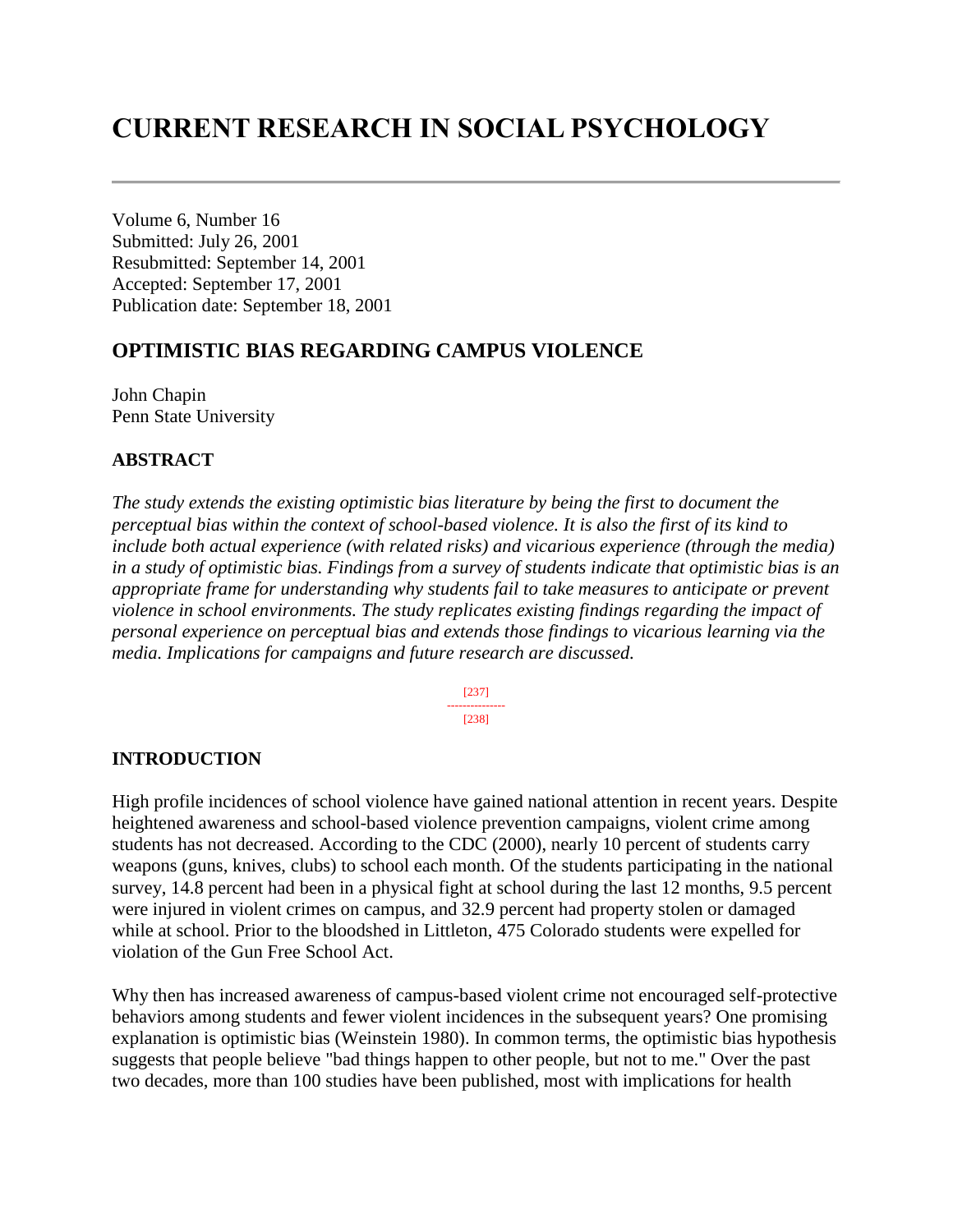# **CURRENT RESEARCH IN SOCIAL PSYCHOLOGY**

Volume 6, Number 16 Submitted: July 26, 2001 Resubmitted: September 14, 2001 Accepted: September 17, 2001 Publication date: September 18, 2001

# **OPTIMISTIC BIAS REGARDING CAMPUS VIOLENCE**

John Chapin Penn State University

#### **ABSTRACT**

*The study extends the existing optimistic bias literature by being the first to document the perceptual bias within the context of school-based violence. It is also the first of its kind to include both actual experience (with related risks) and vicarious experience (through the media) in a study of optimistic bias. Findings from a survey of students indicate that optimistic bias is an appropriate frame for understanding why students fail to take measures to anticipate or prevent violence in school environments. The study replicates existing findings regarding the impact of personal experience on perceptual bias and extends those findings to vicarious learning via the media. Implications for campaigns and future research are discussed.*

> [237] --------------- [238]

#### **INTRODUCTION**

High profile incidences of school violence have gained national attention in recent years. Despite heightened awareness and school-based violence prevention campaigns, violent crime among students has not decreased. According to the CDC (2000), nearly 10 percent of students carry weapons (guns, knives, clubs) to school each month. Of the students participating in the national survey, 14.8 percent had been in a physical fight at school during the last 12 months, 9.5 percent were injured in violent crimes on campus, and 32.9 percent had property stolen or damaged while at school. Prior to the bloodshed in Littleton, 475 Colorado students were expelled for violation of the Gun Free School Act.

Why then has increased awareness of campus-based violent crime not encouraged self-protective behaviors among students and fewer violent incidences in the subsequent years? One promising explanation is optimistic bias (Weinstein 1980). In common terms, the optimistic bias hypothesis suggests that people believe "bad things happen to other people, but not to me." Over the past two decades, more than 100 studies have been published, most with implications for health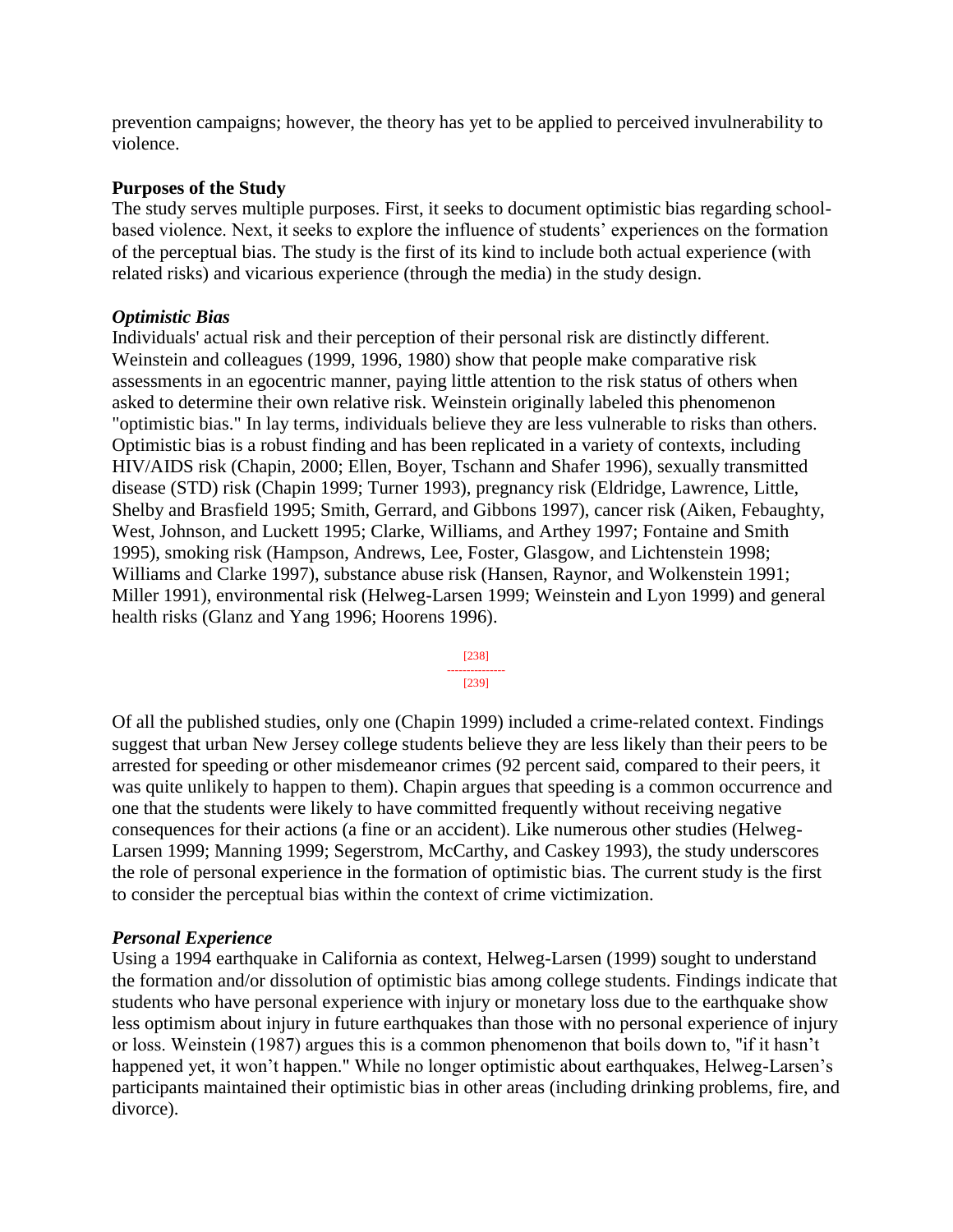prevention campaigns; however, the theory has yet to be applied to perceived invulnerability to violence.

#### **Purposes of the Study**

The study serves multiple purposes. First, it seeks to document optimistic bias regarding schoolbased violence. Next, it seeks to explore the influence of students' experiences on the formation of the perceptual bias. The study is the first of its kind to include both actual experience (with related risks) and vicarious experience (through the media) in the study design.

#### *Optimistic Bias*

Individuals' actual risk and their perception of their personal risk are distinctly different. Weinstein and colleagues (1999, 1996, 1980) show that people make comparative risk assessments in an egocentric manner, paying little attention to the risk status of others when asked to determine their own relative risk. Weinstein originally labeled this phenomenon "optimistic bias." In lay terms, individuals believe they are less vulnerable to risks than others. Optimistic bias is a robust finding and has been replicated in a variety of contexts, including HIV/AIDS risk (Chapin, 2000; Ellen, Boyer, Tschann and Shafer 1996), sexually transmitted disease (STD) risk (Chapin 1999; Turner 1993), pregnancy risk (Eldridge, Lawrence, Little, Shelby and Brasfield 1995; Smith, Gerrard, and Gibbons 1997), cancer risk (Aiken, Febaughty, West, Johnson, and Luckett 1995; Clarke, Williams, and Arthey 1997; Fontaine and Smith 1995), smoking risk (Hampson, Andrews, Lee, Foster, Glasgow, and Lichtenstein 1998; Williams and Clarke 1997), substance abuse risk (Hansen, Raynor, and Wolkenstein 1991; Miller 1991), environmental risk (Helweg-Larsen 1999; Weinstein and Lyon 1999) and general health risks (Glanz and Yang 1996; Hoorens 1996).



Of all the published studies, only one (Chapin 1999) included a crime-related context. Findings suggest that urban New Jersey college students believe they are less likely than their peers to be arrested for speeding or other misdemeanor crimes (92 percent said, compared to their peers, it was quite unlikely to happen to them). Chapin argues that speeding is a common occurrence and one that the students were likely to have committed frequently without receiving negative consequences for their actions (a fine or an accident). Like numerous other studies (Helweg-Larsen 1999; Manning 1999; Segerstrom, McCarthy, and Caskey 1993), the study underscores the role of personal experience in the formation of optimistic bias. The current study is the first to consider the perceptual bias within the context of crime victimization.

# *Personal Experience*

Using a 1994 earthquake in California as context, Helweg-Larsen (1999) sought to understand the formation and/or dissolution of optimistic bias among college students. Findings indicate that students who have personal experience with injury or monetary loss due to the earthquake show less optimism about injury in future earthquakes than those with no personal experience of injury or loss. Weinstein (1987) argues this is a common phenomenon that boils down to, "if it hasn't happened yet, it won't happen." While no longer optimistic about earthquakes, Helweg-Larsen's participants maintained their optimistic bias in other areas (including drinking problems, fire, and divorce).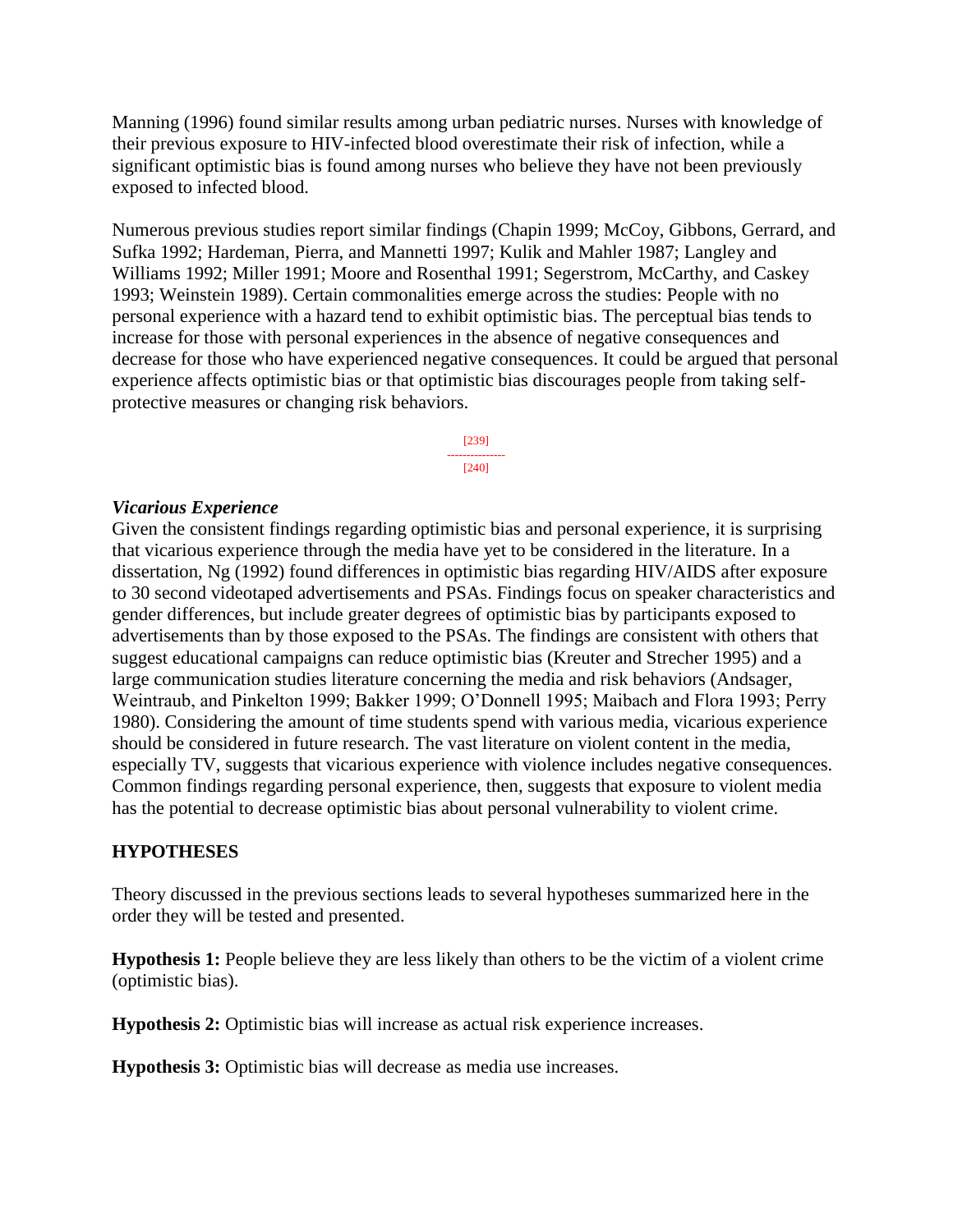Manning (1996) found similar results among urban pediatric nurses. Nurses with knowledge of their previous exposure to HIV-infected blood overestimate their risk of infection, while a significant optimistic bias is found among nurses who believe they have not been previously exposed to infected blood.

Numerous previous studies report similar findings (Chapin 1999; McCoy, Gibbons, Gerrard, and Sufka 1992; Hardeman, Pierra, and Mannetti 1997; Kulik and Mahler 1987; Langley and Williams 1992; Miller 1991; Moore and Rosenthal 1991; Segerstrom, McCarthy, and Caskey 1993; Weinstein 1989). Certain commonalities emerge across the studies: People with no personal experience with a hazard tend to exhibit optimistic bias. The perceptual bias tends to increase for those with personal experiences in the absence of negative consequences and decrease for those who have experienced negative consequences. It could be argued that personal experience affects optimistic bias or that optimistic bias discourages people from taking selfprotective measures or changing risk behaviors.

> [239] --------------- [240]

#### *Vicarious Experience*

Given the consistent findings regarding optimistic bias and personal experience, it is surprising that vicarious experience through the media have yet to be considered in the literature. In a dissertation, Ng (1992) found differences in optimistic bias regarding HIV/AIDS after exposure to 30 second videotaped advertisements and PSAs. Findings focus on speaker characteristics and gender differences, but include greater degrees of optimistic bias by participants exposed to advertisements than by those exposed to the PSAs. The findings are consistent with others that suggest educational campaigns can reduce optimistic bias (Kreuter and Strecher 1995) and a large communication studies literature concerning the media and risk behaviors (Andsager, Weintraub, and Pinkelton 1999; Bakker 1999; O'Donnell 1995; Maibach and Flora 1993; Perry 1980). Considering the amount of time students spend with various media, vicarious experience should be considered in future research. The vast literature on violent content in the media, especially TV, suggests that vicarious experience with violence includes negative consequences. Common findings regarding personal experience, then, suggests that exposure to violent media has the potential to decrease optimistic bias about personal vulnerability to violent crime.

#### **HYPOTHESES**

Theory discussed in the previous sections leads to several hypotheses summarized here in the order they will be tested and presented.

**Hypothesis 1:** People believe they are less likely than others to be the victim of a violent crime (optimistic bias).

**Hypothesis 2:** Optimistic bias will increase as actual risk experience increases.

**Hypothesis 3:** Optimistic bias will decrease as media use increases.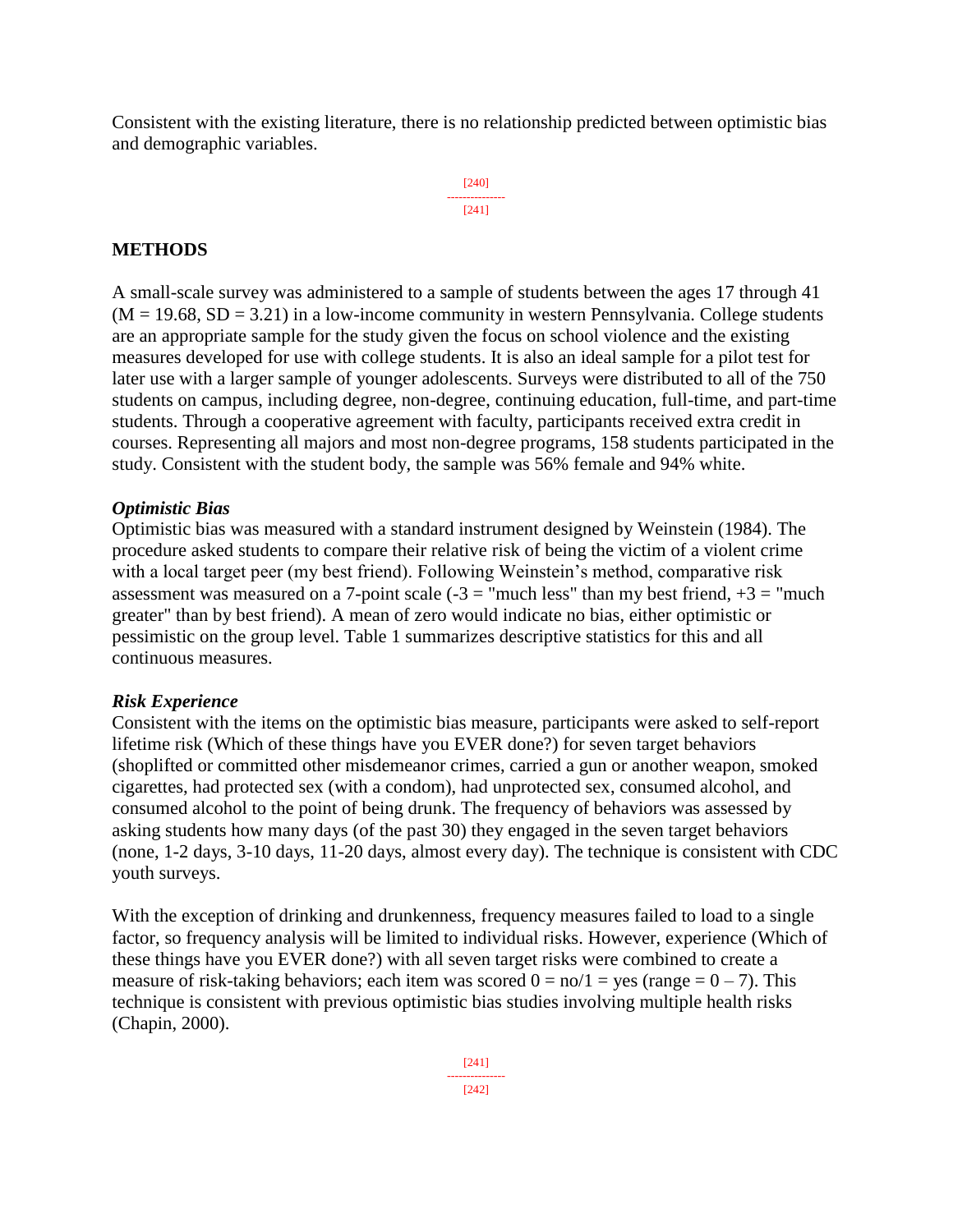Consistent with the existing literature, there is no relationship predicted between optimistic bias and demographic variables.

> [240] --------------- [241]

#### **METHODS**

A small-scale survey was administered to a sample of students between the ages 17 through 41  $(M = 19.68, SD = 3.21)$  in a low-income community in western Pennsylvania. College students are an appropriate sample for the study given the focus on school violence and the existing measures developed for use with college students. It is also an ideal sample for a pilot test for later use with a larger sample of younger adolescents. Surveys were distributed to all of the 750 students on campus, including degree, non-degree, continuing education, full-time, and part-time students. Through a cooperative agreement with faculty, participants received extra credit in courses. Representing all majors and most non-degree programs, 158 students participated in the study. Consistent with the student body, the sample was 56% female and 94% white.

#### *Optimistic Bias*

Optimistic bias was measured with a standard instrument designed by Weinstein (1984). The procedure asked students to compare their relative risk of being the victim of a violent crime with a local target peer (my best friend). Following Weinstein's method, comparative risk assessment was measured on a 7-point scale  $(-3)$  = "much less" than my best friend,  $+3$  = "much greater" than by best friend). A mean of zero would indicate no bias, either optimistic or pessimistic on the group level. Table 1 summarizes descriptive statistics for this and all continuous measures.

#### *Risk Experience*

Consistent with the items on the optimistic bias measure, participants were asked to self-report lifetime risk (Which of these things have you EVER done?) for seven target behaviors (shoplifted or committed other misdemeanor crimes, carried a gun or another weapon, smoked cigarettes, had protected sex (with a condom), had unprotected sex, consumed alcohol, and consumed alcohol to the point of being drunk. The frequency of behaviors was assessed by asking students how many days (of the past 30) they engaged in the seven target behaviors (none, 1-2 days, 3-10 days, 11-20 days, almost every day). The technique is consistent with CDC youth surveys.

With the exception of drinking and drunkenness, frequency measures failed to load to a single factor, so frequency analysis will be limited to individual risks. However, experience (Which of these things have you EVER done?) with all seven target risks were combined to create a measure of risk-taking behaviors; each item was scored  $0 = \frac{no}{1} = \frac{ve}{.}$  (range  $= 0 - 7$ ). This technique is consistent with previous optimistic bias studies involving multiple health risks (Chapin, 2000).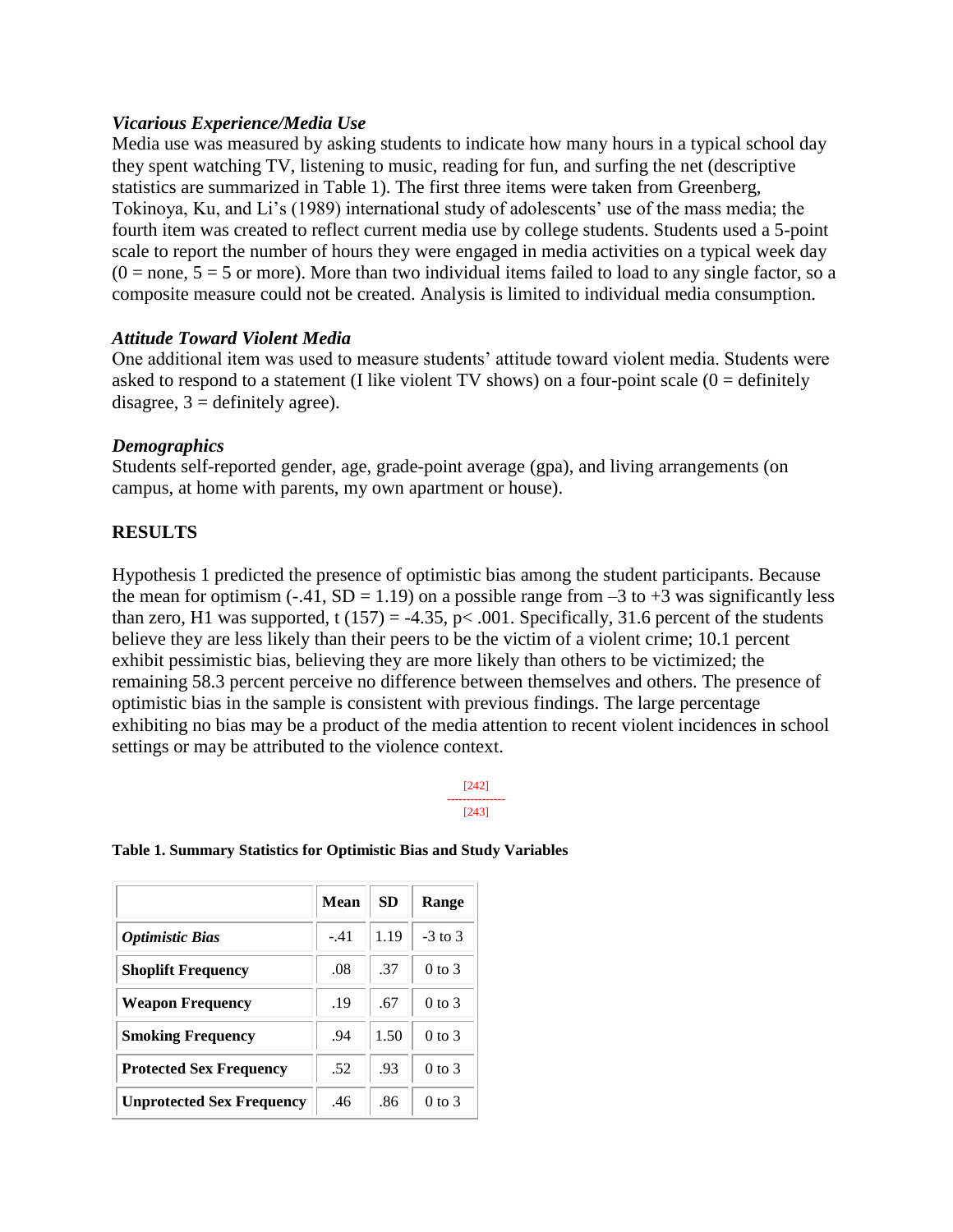#### *Vicarious Experience/Media Use*

Media use was measured by asking students to indicate how many hours in a typical school day they spent watching TV, listening to music, reading for fun, and surfing the net (descriptive statistics are summarized in Table 1). The first three items were taken from Greenberg, Tokinoya, Ku, and Li's (1989) international study of adolescents' use of the mass media; the fourth item was created to reflect current media use by college students. Students used a 5-point scale to report the number of hours they were engaged in media activities on a typical week day  $(0 = none, 5 = 5$  or more). More than two individual items failed to load to any single factor, so a composite measure could not be created. Analysis is limited to individual media consumption.

#### *Attitude Toward Violent Media*

One additional item was used to measure students' attitude toward violent media. Students were asked to respond to a statement (I like violent TV shows) on a four-point scale ( $0 =$  definitely disagree,  $3 =$  definitely agree).

#### *Demographics*

Students self-reported gender, age, grade-point average (gpa), and living arrangements (on campus, at home with parents, my own apartment or house).

# **RESULTS**

Hypothesis 1 predicted the presence of optimistic bias among the student participants. Because the mean for optimism (-.41, SD = 1.19) on a possible range from  $-3$  to  $+3$  was significantly less than zero, H1 was supported, t (157) = -4.35, p < .001. Specifically, 31.6 percent of the students believe they are less likely than their peers to be the victim of a violent crime; 10.1 percent exhibit pessimistic bias, believing they are more likely than others to be victimized; the remaining 58.3 percent perceive no difference between themselves and others. The presence of optimistic bias in the sample is consistent with previous findings. The large percentage exhibiting no bias may be a product of the media attention to recent violent incidences in school settings or may be attributed to the violence context.

> [242] --------------- [243]

|  | Table 1. Summary Statistics for Optimistic Bias and Study Variables |  |  |
|--|---------------------------------------------------------------------|--|--|
|  |                                                                     |  |  |

|                                  | <b>Mean</b> | SD   | Range      |
|----------------------------------|-------------|------|------------|
| <b>Optimistic Bias</b>           | $-.41$      | 1.19 | $-3$ to 3  |
| <b>Shoplift Frequency</b>        | .08         | .37  | $0$ to $3$ |
| <b>Weapon Frequency</b>          | .19         | .67  | $0$ to $3$ |
| <b>Smoking Frequency</b>         | .94         | 1.50 | $0$ to $3$ |
| <b>Protected Sex Frequency</b>   | .52         | .93  | $0$ to $3$ |
| <b>Unprotected Sex Frequency</b> | .46         | .86  | $0$ to $3$ |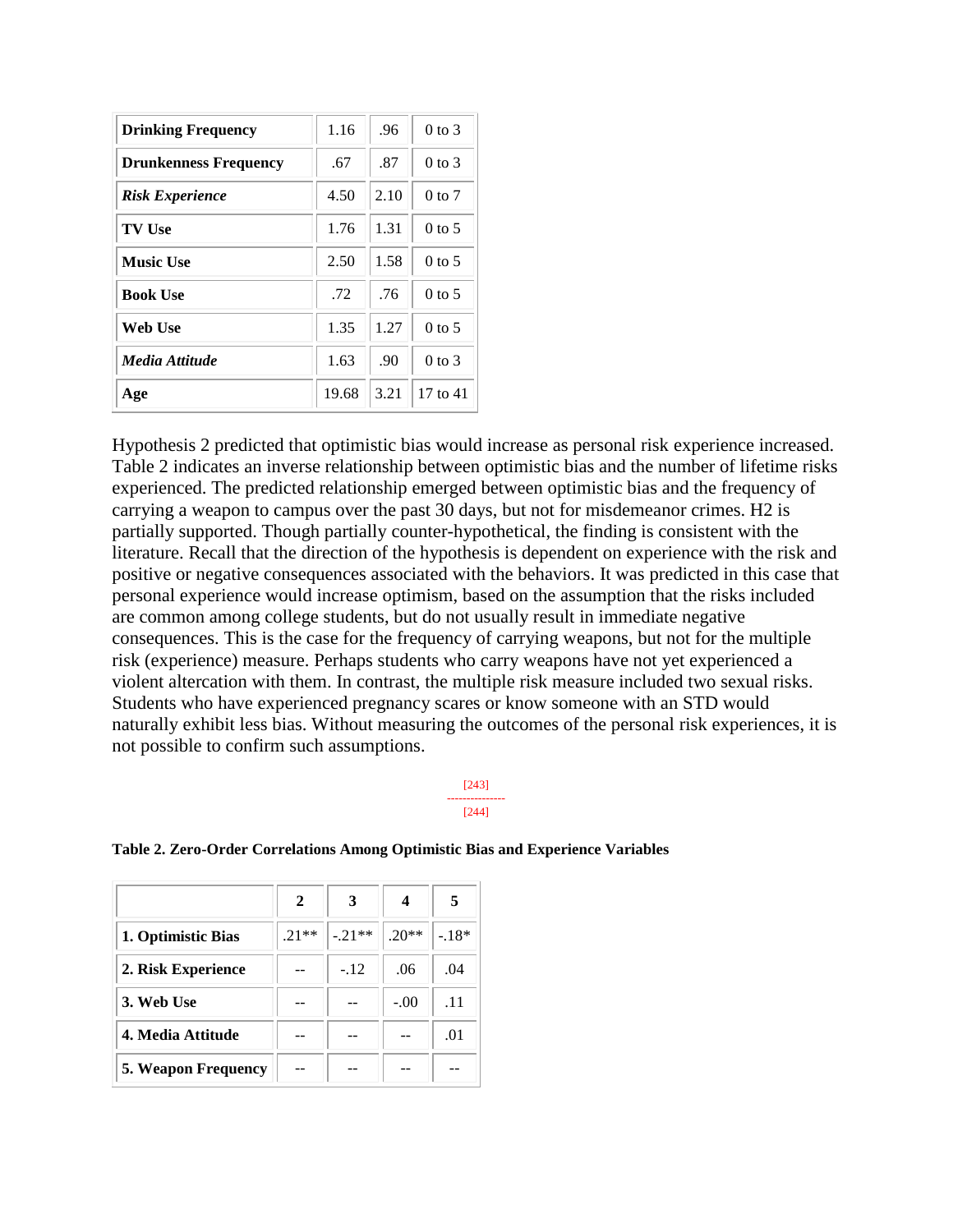| <b>Drinking Frequency</b>    | 1.16  | .96  | $0$ to $3$ |
|------------------------------|-------|------|------------|
| <b>Drunkenness Frequency</b> | .67   | .87  | $0$ to $3$ |
| <b>Risk Experience</b>       | 4.50  | 2.10 | $0$ to $7$ |
| <b>TV Use</b>                | 1.76  | 1.31 | $0$ to 5   |
| <b>Music Use</b>             | 2.50  | 1.58 | $0$ to 5   |
| <b>Book Use</b>              | .72   | .76  | $0$ to 5   |
| Web Use                      | 1.35  | 1.27 | $0$ to 5   |
| Media Attitude               | 1.63  | .90  | $0$ to $3$ |
| Age                          | 19.68 | 3.21 | 17 to 41   |

Hypothesis 2 predicted that optimistic bias would increase as personal risk experience increased. Table 2 indicates an inverse relationship between optimistic bias and the number of lifetime risks experienced. The predicted relationship emerged between optimistic bias and the frequency of carrying a weapon to campus over the past 30 days, but not for misdemeanor crimes. H2 is partially supported. Though partially counter-hypothetical, the finding is consistent with the literature. Recall that the direction of the hypothesis is dependent on experience with the risk and positive or negative consequences associated with the behaviors. It was predicted in this case that personal experience would increase optimism, based on the assumption that the risks included are common among college students, but do not usually result in immediate negative consequences. This is the case for the frequency of carrying weapons, but not for the multiple risk (experience) measure. Perhaps students who carry weapons have not yet experienced a violent altercation with them. In contrast, the multiple risk measure included two sexual risks. Students who have experienced pregnancy scares or know someone with an STD would naturally exhibit less bias. Without measuring the outcomes of the personal risk experiences, it is not possible to confirm such assumptions.

#### [243] --------------- [244]

|                            | 2       | 3       | 4       | 5       |
|----------------------------|---------|---------|---------|---------|
| 1. Optimistic Bias         | $.21**$ | $-21**$ | $.20**$ | $-.18*$ |
| 2. Risk Experience         |         | $-.12$  | .06     | .04     |
| 3. Web Use                 |         |         | $-.00$  | .11     |
| 4. Media Attitude          |         |         |         | .01     |
| <b>5. Weapon Frequency</b> |         |         |         |         |

#### **Table 2. Zero-Order Correlations Among Optimistic Bias and Experience Variables**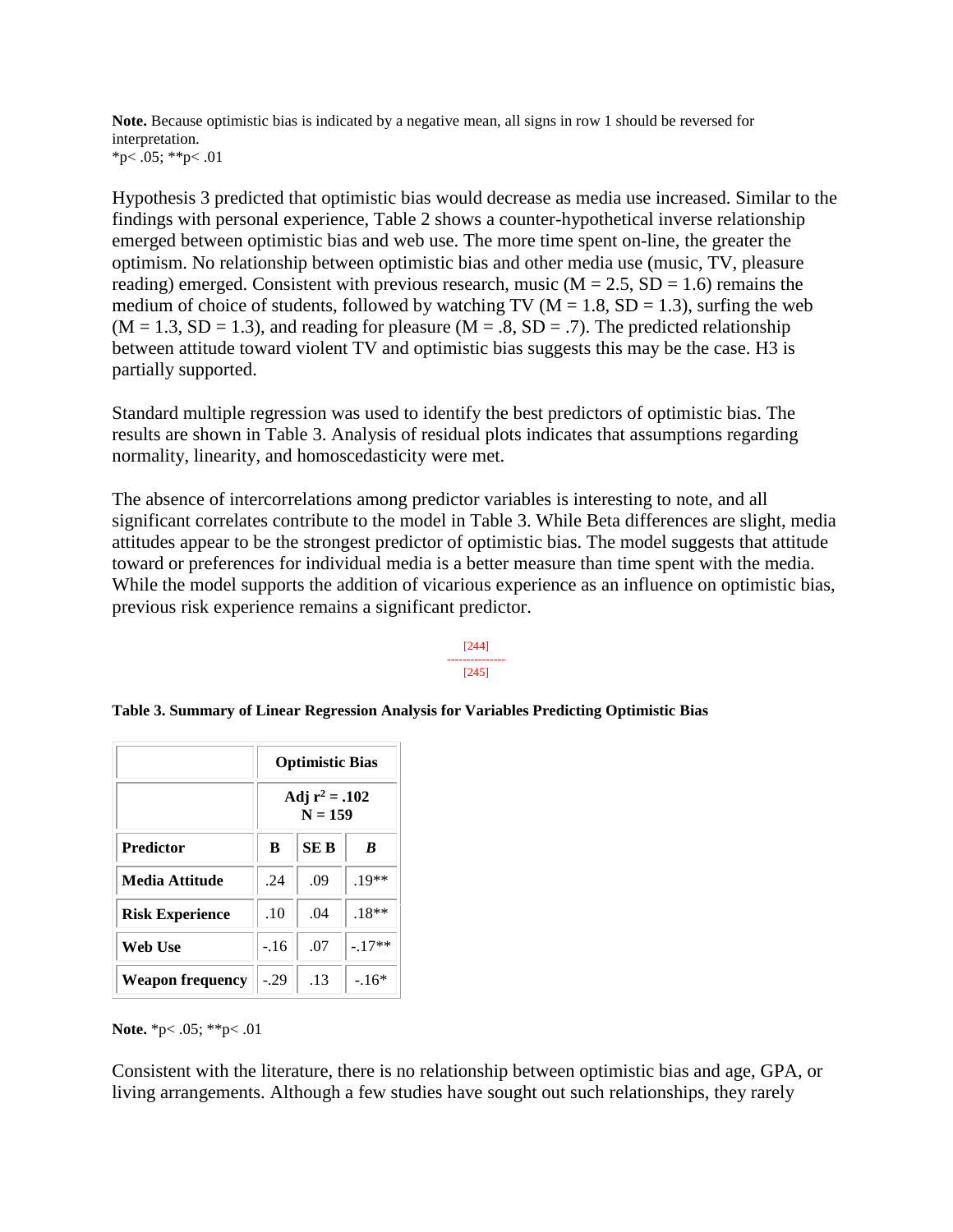**Note.** Because optimistic bias is indicated by a negative mean, all signs in row 1 should be reversed for interpretation. \*p $< .05$ ; \*\*p $< .01$ 

Hypothesis 3 predicted that optimistic bias would decrease as media use increased. Similar to the findings with personal experience, Table 2 shows a counter-hypothetical inverse relationship emerged between optimistic bias and web use. The more time spent on-line, the greater the optimism. No relationship between optimistic bias and other media use (music, TV, pleasure reading) emerged. Consistent with previous research, music ( $M = 2.5$ ,  $SD = 1.6$ ) remains the medium of choice of students, followed by watching TV ( $M = 1.8$ , SD = 1.3), surfing the web  $(M = 1.3, SD = 1.3)$ , and reading for pleasure  $(M = .8, SD = .7)$ . The predicted relationship between attitude toward violent TV and optimistic bias suggests this may be the case. H3 is partially supported.

Standard multiple regression was used to identify the best predictors of optimistic bias. The results are shown in Table 3. Analysis of residual plots indicates that assumptions regarding normality, linearity, and homoscedasticity were met.

The absence of intercorrelations among predictor variables is interesting to note, and all significant correlates contribute to the model in Table 3. While Beta differences are slight, media attitudes appear to be the strongest predictor of optimistic bias. The model suggests that attitude toward or preferences for individual media is a better measure than time spent with the media. While the model supports the addition of vicarious experience as an influence on optimistic bias, previous risk experience remains a significant predictor.

> [244] --------------- [245]

|                        | <b>Optimistic Bias</b>        |      |          |  |
|------------------------|-------------------------------|------|----------|--|
|                        | Adj $r^2 = .102$<br>$N = 159$ |      |          |  |
| <b>Predictor</b>       | B                             | SE B | B        |  |
| Media Attitude         | .24                           | .09  | $.19**$  |  |
| <b>Risk Experience</b> | .10                           | .04  | $.18**$  |  |
| Web Use                | $-16$                         | .07  | $-.17**$ |  |
| Weapon frequency       | $-.29$                        | .13  | $-16*$   |  |

**Table 3. Summary of Linear Regression Analysis for Variables Predicting Optimistic Bias**

**Note.** \*p< .05; \*\*p< .01

Consistent with the literature, there is no relationship between optimistic bias and age, GPA, or living arrangements. Although a few studies have sought out such relationships, they rarely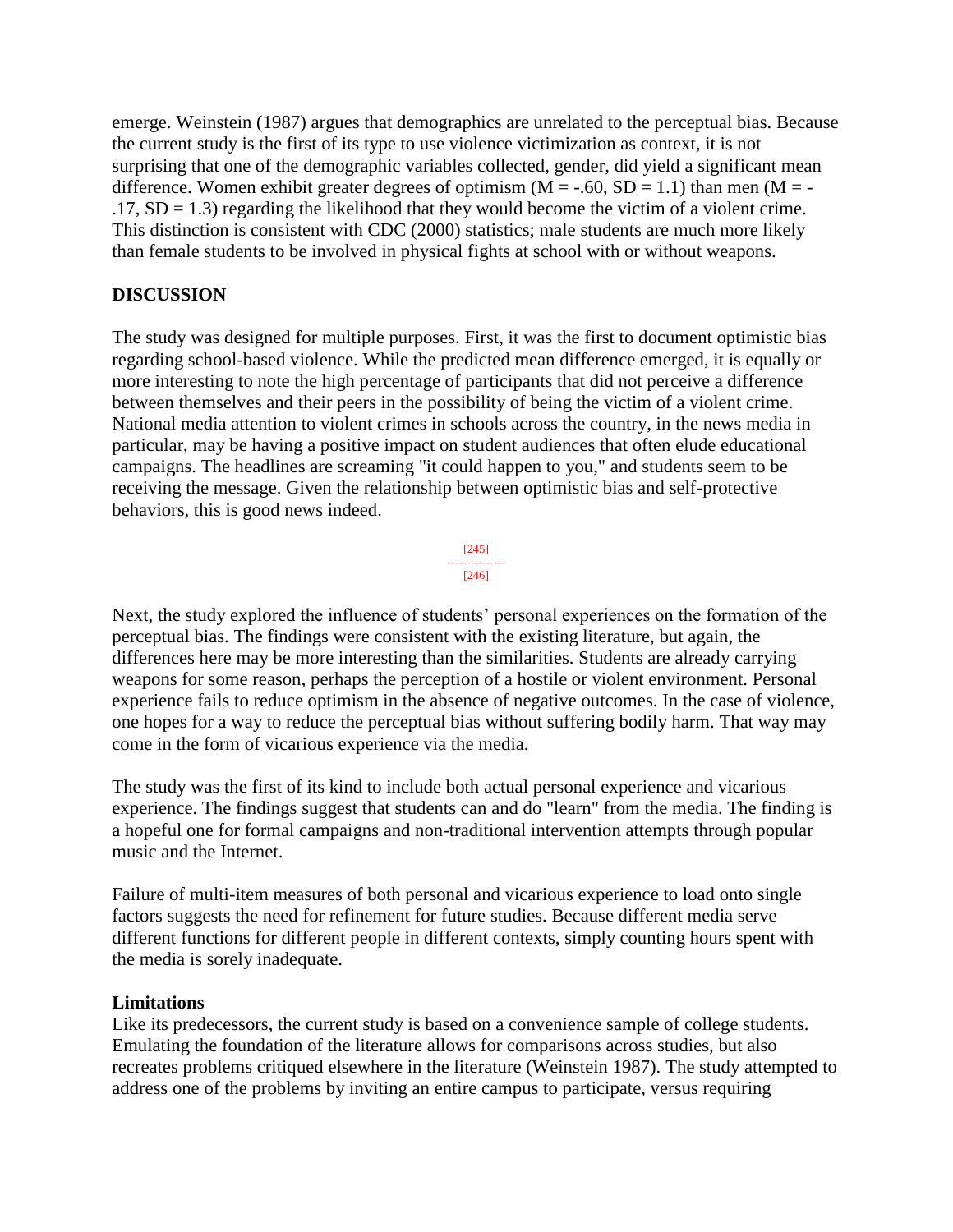emerge. Weinstein (1987) argues that demographics are unrelated to the perceptual bias. Because the current study is the first of its type to use violence victimization as context, it is not surprising that one of the demographic variables collected, gender, did yield a significant mean difference. Women exhibit greater degrees of optimism ( $M = -.60$ ,  $SD = 1.1$ ) than men ( $M = .17$ , SD = 1.3) regarding the likelihood that they would become the victim of a violent crime. This distinction is consistent with CDC (2000) statistics; male students are much more likely than female students to be involved in physical fights at school with or without weapons.

# **DISCUSSION**

The study was designed for multiple purposes. First, it was the first to document optimistic bias regarding school-based violence. While the predicted mean difference emerged, it is equally or more interesting to note the high percentage of participants that did not perceive a difference between themselves and their peers in the possibility of being the victim of a violent crime. National media attention to violent crimes in schools across the country, in the news media in particular, may be having a positive impact on student audiences that often elude educational campaigns. The headlines are screaming "it could happen to you," and students seem to be receiving the message. Given the relationship between optimistic bias and self-protective behaviors, this is good news indeed.



Next, the study explored the influence of students' personal experiences on the formation of the perceptual bias. The findings were consistent with the existing literature, but again, the differences here may be more interesting than the similarities. Students are already carrying weapons for some reason, perhaps the perception of a hostile or violent environment. Personal experience fails to reduce optimism in the absence of negative outcomes. In the case of violence, one hopes for a way to reduce the perceptual bias without suffering bodily harm. That way may come in the form of vicarious experience via the media.

The study was the first of its kind to include both actual personal experience and vicarious experience. The findings suggest that students can and do "learn" from the media. The finding is a hopeful one for formal campaigns and non-traditional intervention attempts through popular music and the Internet.

Failure of multi-item measures of both personal and vicarious experience to load onto single factors suggests the need for refinement for future studies. Because different media serve different functions for different people in different contexts, simply counting hours spent with the media is sorely inadequate.

# **Limitations**

Like its predecessors, the current study is based on a convenience sample of college students. Emulating the foundation of the literature allows for comparisons across studies, but also recreates problems critiqued elsewhere in the literature (Weinstein 1987). The study attempted to address one of the problems by inviting an entire campus to participate, versus requiring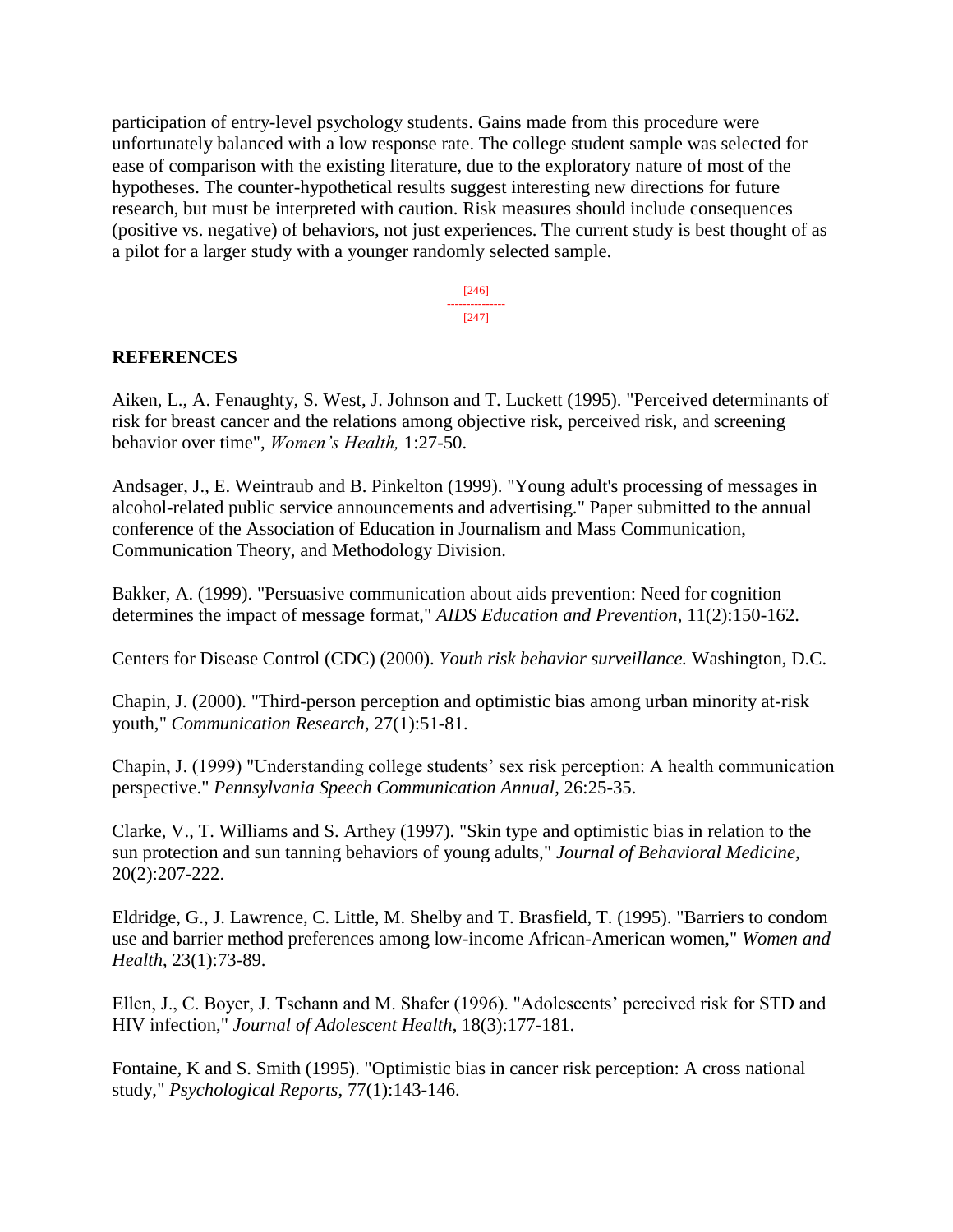participation of entry-level psychology students. Gains made from this procedure were unfortunately balanced with a low response rate. The college student sample was selected for ease of comparison with the existing literature, due to the exploratory nature of most of the hypotheses. The counter-hypothetical results suggest interesting new directions for future research, but must be interpreted with caution. Risk measures should include consequences (positive vs. negative) of behaviors, not just experiences. The current study is best thought of as a pilot for a larger study with a younger randomly selected sample.

> [246] --------------- [247]

#### **REFERENCES**

Aiken, L., A. Fenaughty, S. West, J. Johnson and T. Luckett (1995). "Perceived determinants of risk for breast cancer and the relations among objective risk, perceived risk, and screening behavior over time", *Women's Health,* 1:27-50.

Andsager, J., E. Weintraub and B. Pinkelton (1999). "Young adult's processing of messages in alcohol-related public service announcements and advertising." Paper submitted to the annual conference of the Association of Education in Journalism and Mass Communication, Communication Theory, and Methodology Division.

Bakker, A. (1999). "Persuasive communication about aids prevention: Need for cognition determines the impact of message format," *AIDS Education and Prevention,* 11(2):150-162.

Centers for Disease Control (CDC) (2000). *Youth risk behavior surveillance.* Washington, D.C.

Chapin, J. (2000). "Third-person perception and optimistic bias among urban minority at-risk youth," *Communication Research,* 27(1):51-81.

Chapin, J. (1999) "Understanding college students' sex risk perception: A health communication perspective." *Pennsylvania Speech Communication Annual*, 26:25-35.

Clarke, V., T. Williams and S. Arthey (1997). "Skin type and optimistic bias in relation to the sun protection and sun tanning behaviors of young adults," *Journal of Behavioral Medicine,* 20(2):207-222.

Eldridge, G., J. Lawrence, C. Little, M. Shelby and T. Brasfield, T. (1995). "Barriers to condom use and barrier method preferences among low-income African-American women," *Women and Health*, 23(1):73-89.

Ellen, J., C. Boyer, J. Tschann and M. Shafer (1996). "Adolescents' perceived risk for STD and HIV infection," *Journal of Adolescent Health*, 18(3):177-181.

Fontaine, K and S. Smith (1995). "Optimistic bias in cancer risk perception: A cross national study," *Psychological Reports*, 77(1):143-146.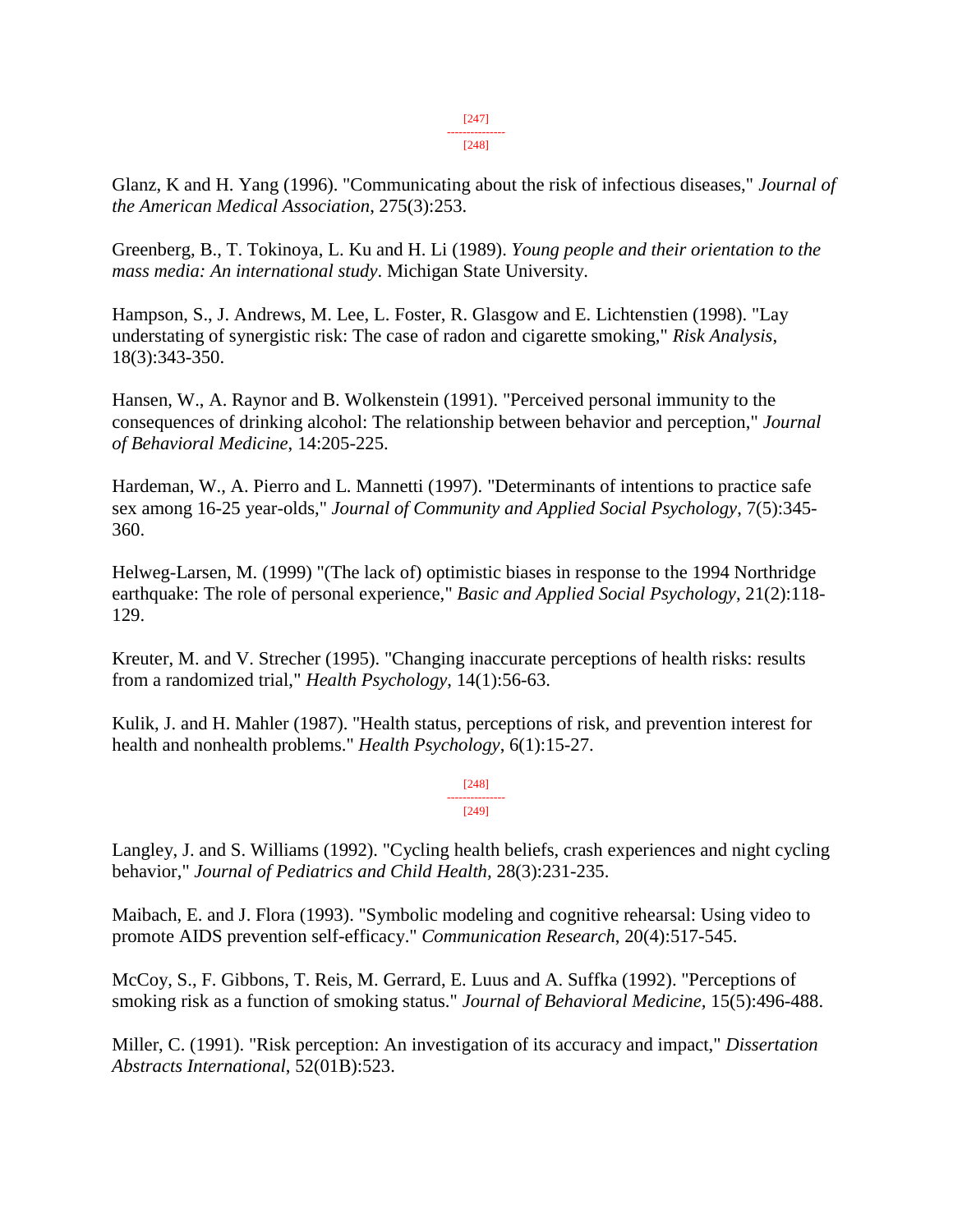#### [247] ---------------

[248]

Glanz, K and H. Yang (1996). "Communicating about the risk of infectious diseases," *Journal of the American Medical Association*, 275(3):253.

Greenberg, B., T. Tokinoya, L. Ku and H. Li (1989). *Young people and their orientation to the mass media: An international study*. Michigan State University.

Hampson, S., J. Andrews, M. Lee, L. Foster, R. Glasgow and E. Lichtenstien (1998). "Lay understating of synergistic risk: The case of radon and cigarette smoking," *Risk Analysis*, 18(3):343-350.

Hansen, W., A. Raynor and B. Wolkenstein (1991). "Perceived personal immunity to the consequences of drinking alcohol: The relationship between behavior and perception," *Journal of Behavioral Medicine*, 14:205-225.

Hardeman, W., A. Pierro and L. Mannetti (1997). "Determinants of intentions to practice safe sex among 16-25 year-olds," *Journal of Community and Applied Social Psychology*, 7(5):345- 360.

Helweg-Larsen, M. (1999) "(The lack of) optimistic biases in response to the 1994 Northridge earthquake: The role of personal experience," *Basic and Applied Social Psychology*, 21(2):118- 129.

Kreuter, M. and V. Strecher (1995). "Changing inaccurate perceptions of health risks: results from a randomized trial," *Health Psychology*, 14(1):56-63.

Kulik, J. and H. Mahler (1987). "Health status, perceptions of risk, and prevention interest for health and nonhealth problems." *Health Psychology*, 6(1):15-27.

> [248] --------------- [249]

Langley, J. and S. Williams (1992). "Cycling health beliefs, crash experiences and night cycling behavior," *Journal of Pediatrics and Child Health,* 28(3):231-235.

Maibach, E. and J. Flora (1993). "Symbolic modeling and cognitive rehearsal: Using video to promote AIDS prevention self-efficacy." *Communication Research*, 20(4):517-545.

McCoy, S., F. Gibbons, T. Reis, M. Gerrard, E. Luus and A. Suffka (1992). "Perceptions of smoking risk as a function of smoking status." *Journal of Behavioral Medicine,* 15(5):496-488.

Miller, C. (1991). "Risk perception: An investigation of its accuracy and impact," *Dissertation Abstracts International*, 52(01B):523.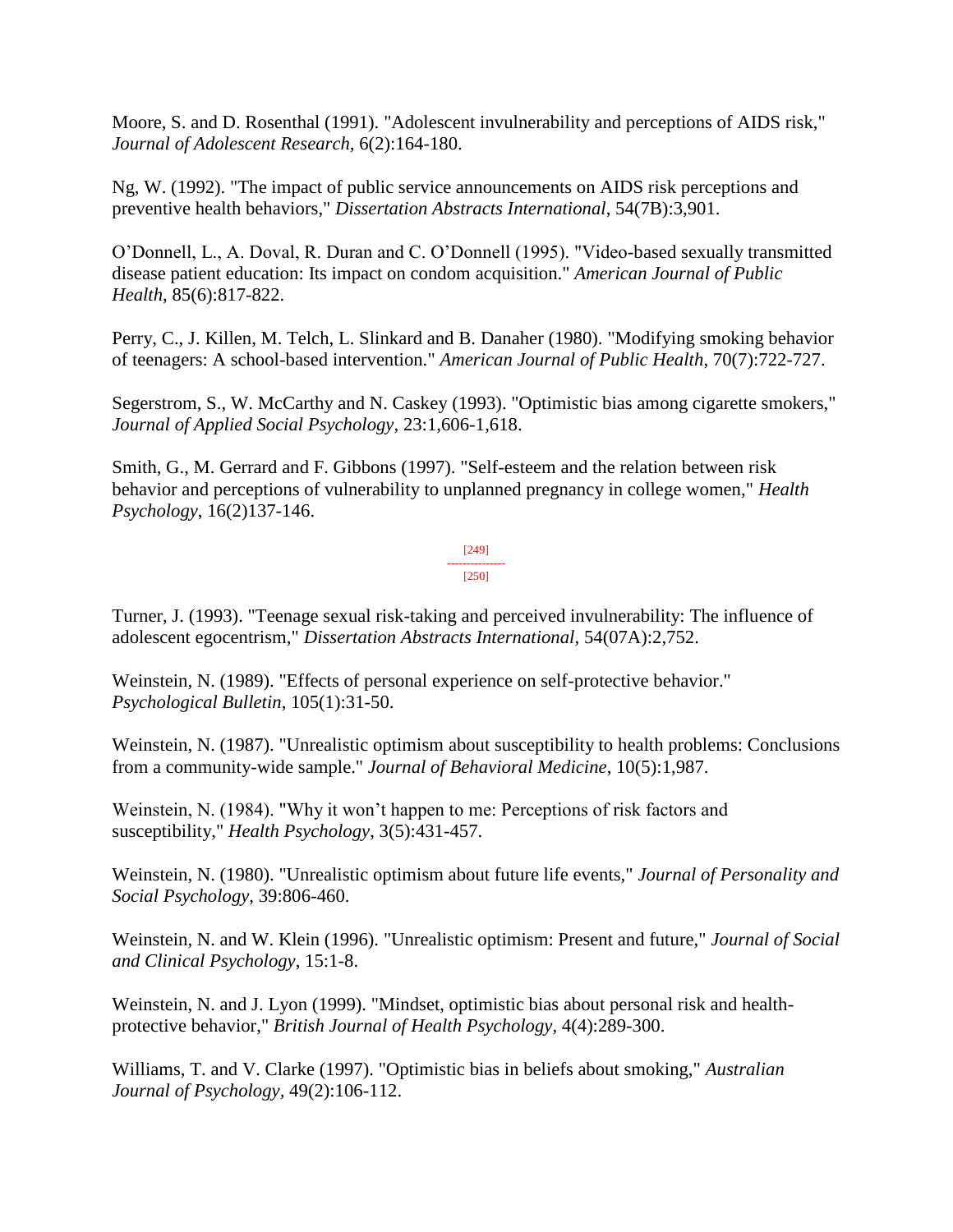Moore, S. and D. Rosenthal (1991). "Adolescent invulnerability and perceptions of AIDS risk," *Journal of Adolescent Research,* 6(2):164-180.

Ng, W. (1992). "The impact of public service announcements on AIDS risk perceptions and preventive health behaviors," *Dissertation Abstracts International*, 54(7B):3,901.

O'Donnell, L., A. Doval, R. Duran and C. O'Donnell (1995). "Video-based sexually transmitted disease patient education: Its impact on condom acquisition." *American Journal of Public Health*, 85(6):817-822.

Perry, C., J. Killen, M. Telch, L. Slinkard and B. Danaher (1980). "Modifying smoking behavior of teenagers: A school-based intervention." *American Journal of Public Health*, 70(7):722-727.

Segerstrom, S., W. McCarthy and N. Caskey (1993). "Optimistic bias among cigarette smokers," *Journal of Applied Social Psychology,* 23:1,606-1,618.

Smith, G., M. Gerrard and F. Gibbons (1997). "Self-esteem and the relation between risk behavior and perceptions of vulnerability to unplanned pregnancy in college women," *Health Psychology*, 16(2)137-146.

> [249] --------------- [250]

Turner, J. (1993). "Teenage sexual risk-taking and perceived invulnerability: The influence of adolescent egocentrism," *Dissertation Abstracts International*, 54(07A):2,752.

Weinstein, N. (1989). "Effects of personal experience on self-protective behavior." *Psychological Bulletin*, 105(1):31-50.

Weinstein, N. (1987). "Unrealistic optimism about susceptibility to health problems: Conclusions from a community-wide sample." *Journal of Behavioral Medicine*, 10(5):1,987.

Weinstein, N. (1984). "Why it won't happen to me: Perceptions of risk factors and susceptibility," *Health Psychology*, 3(5):431-457.

Weinstein, N. (1980). "Unrealistic optimism about future life events," *Journal of Personality and Social Psychology*, 39:806-460.

Weinstein, N. and W. Klein (1996). "Unrealistic optimism: Present and future," *Journal of Social and Clinical Psychology*, 15:1-8.

Weinstein, N. and J. Lyon (1999). "Mindset, optimistic bias about personal risk and healthprotective behavior," *British Journal of Health Psychology,* 4(4):289-300.

Williams, T. and V. Clarke (1997). "Optimistic bias in beliefs about smoking," *Australian Journal of Psychology,* 49(2):106-112.